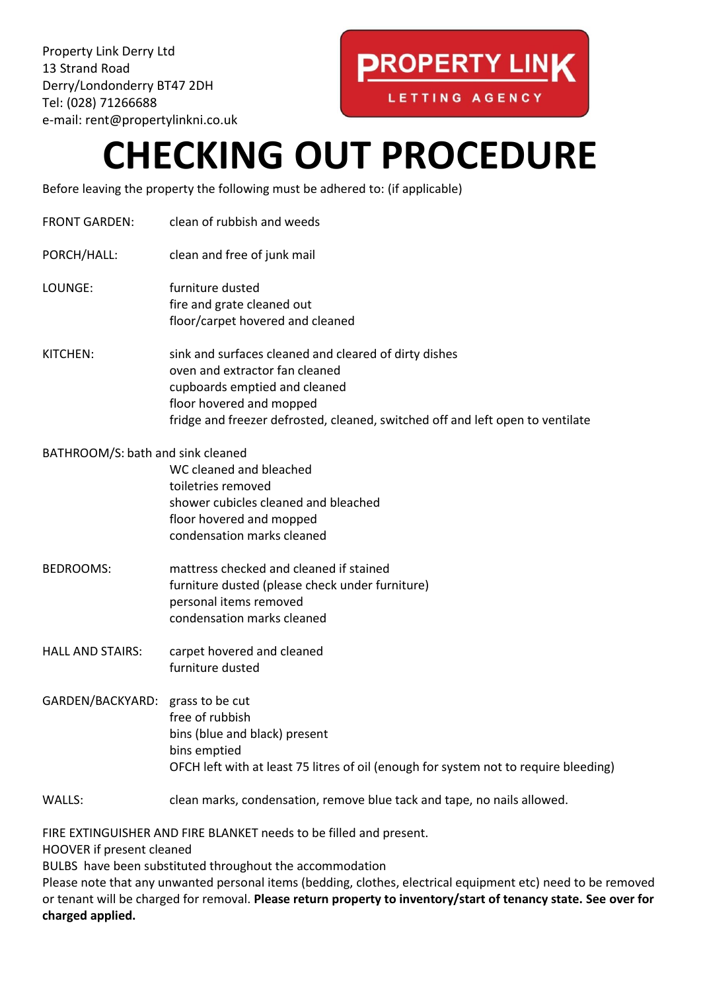Property Link Derry Ltd 13 Strand Road Derry/Londonderry BT47 2DH Tel: (028) 71266688 e-mail: rent@propertylinkni.co.uk

## **PROPERTY LINK**

LETTING AGENCY

## **CHECKING OUT PROCEDURE**

Before leaving the property the following must be adhered to: (if applicable)

- FRONT GARDEN: clean of rubbish and weeds
- PORCH/HALL: clean and free of junk mail
- LOUNGE: furniture dusted fire and grate cleaned out floor/carpet hovered and cleaned
- KITCHEN: sink and surfaces cleaned and cleared of dirty dishes oven and extractor fan cleaned cupboards emptied and cleaned floor hovered and mopped fridge and freezer defrosted, cleaned, switched off and left open to ventilate

BATHROOM/S: bath and sink cleaned

WC cleaned and bleached toiletries removed shower cubicles cleaned and bleached floor hovered and mopped condensation marks cleaned

- BEDROOMS: mattress checked and cleaned if stained furniture dusted (please check under furniture) personal items removed condensation marks cleaned
- HALL AND STAIRS: carpet hovered and cleaned furniture dusted
- GARDEN/BACKYARD: grass to be cut free of rubbish bins (blue and black) present bins emptied OFCH left with at least 75 litres of oil (enough for system not to require bleeding)
- WALLS: clean marks, condensation, remove blue tack and tape, no nails allowed.

FIRE EXTINGUISHER AND FIRE BLANKET needs to be filled and present.

HOOVER if present cleaned

BULBS have been substituted throughout the accommodation

Please note that any unwanted personal items (bedding, clothes, electrical equipment etc) need to be removed or tenant will be charged for removal. **Please return property to inventory/start of tenancy state. See over for charged applied.**